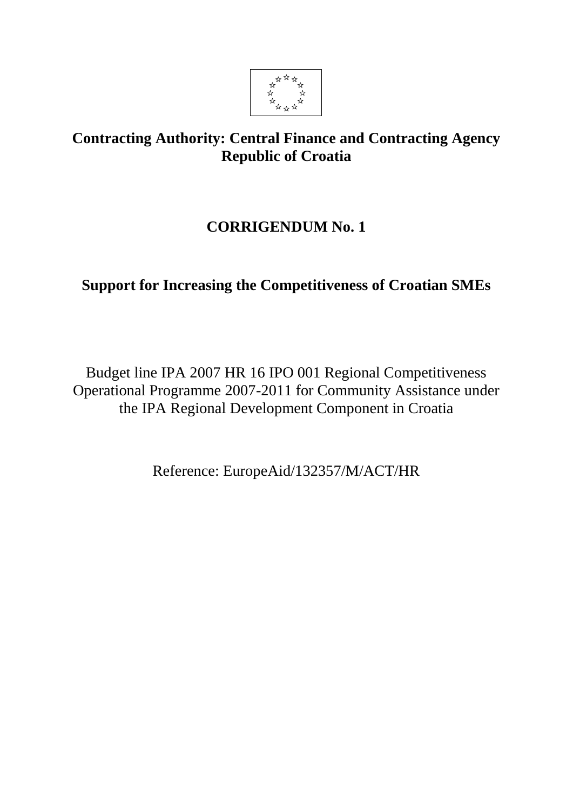

# **Contracting Authority: Central Finance and Contracting Agency Republic of Croatia**

# **CORRIGENDUM No. 1**

# **Support for Increasing the Competitiveness of Croatian SMEs**

Budget line IPA 2007 HR 16 IPO 001 Regional Competitiveness Operational Programme 2007-2011 for Community Assistance under the IPA Regional Development Component in Croatia

Reference: EuropeAid/132357/M/ACT/HR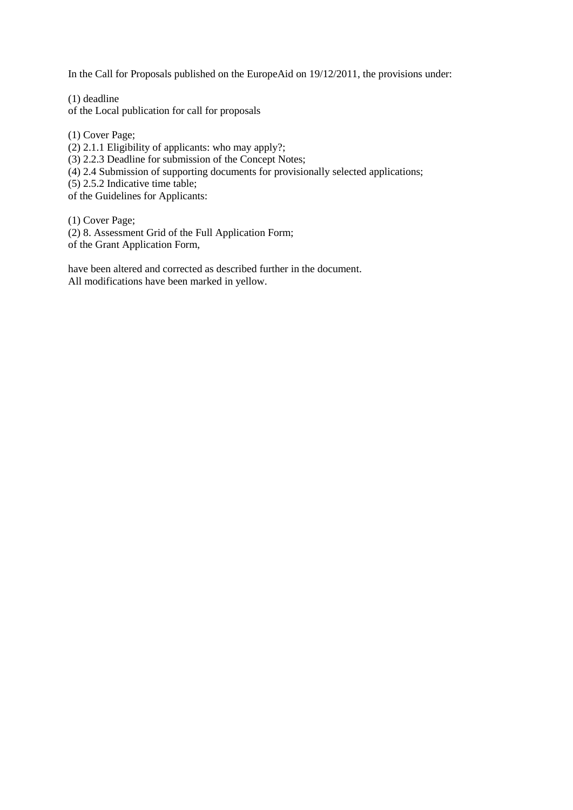In the Call for Proposals published on the EuropeAid on 19/12/2011, the provisions under:

(1) deadline of the Local publication for call for proposals

(1) Cover Page;

(2) 2.1.1 Eligibility of applicants: who may apply?;

(3) 2.2.3 Deadline for submission of the Concept Notes;

(4) 2.4 Submission of supporting documents for provisionally selected applications;

(5) 2.5.2 Indicative time table;

of the Guidelines for Applicants:

(1) Cover Page;

(2) 8. Assessment Grid of the Full Application Form;

of the Grant Application Form,

have been altered and corrected as described further in the document. All modifications have been marked in yellow.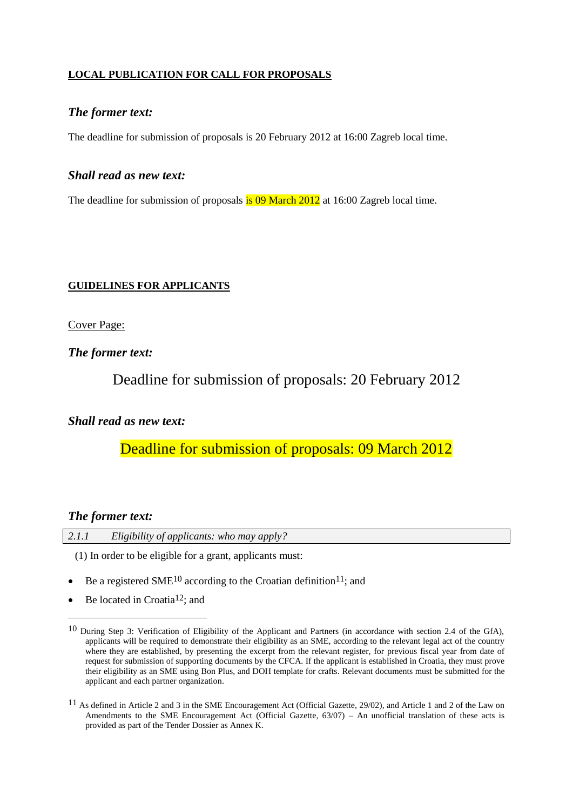## **LOCAL PUBLICATION FOR CALL FOR PROPOSALS**

#### *The former text:*

The deadline for submission of proposals is 20 February 2012 at 16:00 Zagreb local time.

#### *Shall read as new text:*

The deadline for submission of proposals is 09 March 2012 at 16:00 Zagreb local time.

#### **GUIDELINES FOR APPLICANTS**

Cover Page:

*The former text:*

Deadline for submission of proposals: 20 February 2012

## *Shall read as new text:*

Deadline for submission of proposals: 09 March 2012

#### *The former text:*

1

| 2.1.1 | Eligibility of applicants: who may apply? |  |
|-------|-------------------------------------------|--|
|-------|-------------------------------------------|--|

(1) In order to be eligible for a grant, applicants must:

- Be a registered SME<sup>10</sup> according to the Croatian definition<sup>11</sup>; and
- $\bullet$  Be located in Croatia<sup>12</sup>; and

<sup>10</sup> During Step 3: Verification of Eligibility of the Applicant and Partners (in accordance with section 2.4 of the GfA), applicants will be required to demonstrate their eligibility as an SME, according to the relevant legal act of the country where they are established, by presenting the excerpt from the relevant register, for previous fiscal year from date of request for submission of supporting documents by the CFCA. If the applicant is established in Croatia, they must prove their eligibility as an SME using Bon Plus, and DOH template for crafts. Relevant documents must be submitted for the applicant and each partner organization.

<sup>11</sup> As defined in Article 2 and 3 in the SME Encouragement Act (Official Gazette, 29/02), and Article 1 and 2 of the Law on Amendments to the SME Encouragement Act (Official Gazette, 63/07) – An unofficial translation of these acts is provided as part of the Tender Dossier as Annex K.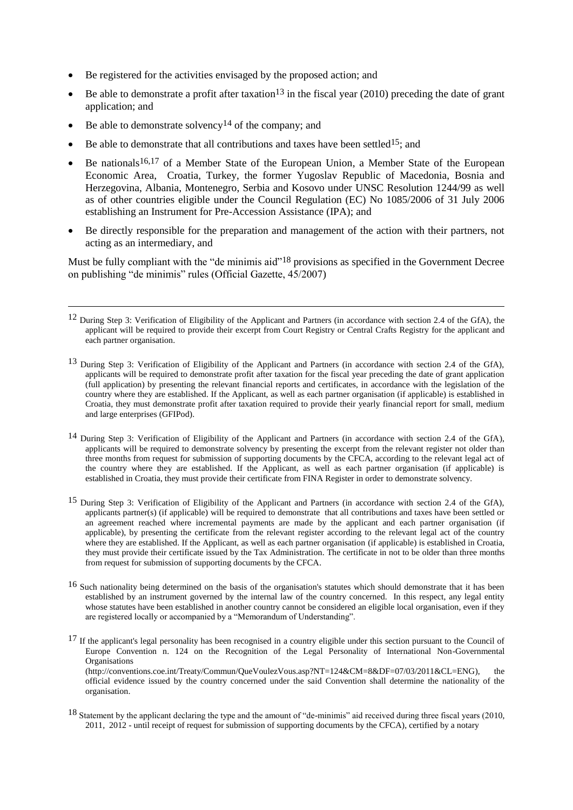- Be registered for the activities envisaged by the proposed action; and
- Be able to demonstrate a profit after taxation<sup>13</sup> in the fiscal year (2010) preceding the date of grant application; and
- Be able to demonstrate solvency<sup>14</sup> of the company; and

 $\overline{a}$ 

- Be able to demonstrate that all contributions and taxes have been settled<sup>15</sup>; and
- Be nationals<sup>16,17</sup> of a Member State of the European Union, a Member State of the European Economic Area, Croatia, Turkey, the former Yugoslav Republic of Macedonia, Bosnia and Herzegovina, Albania, Montenegro, Serbia and Kosovo under UNSC Resolution 1244/99 as well as of other countries eligible under the Council Regulation (EC) No 1085/2006 of 31 July 2006 establishing an Instrument for Pre-Accession Assistance (IPA); and
- Be directly responsible for the preparation and management of the action with their partners, not acting as an intermediary, and

Must be fully compliant with the "de minimis aid"<sup>18</sup> provisions as specified in the Government Decree on publishing "de minimis" rules (Official Gazette, 45/2007)

- 12 During Step 3: Verification of Eligibility of the Applicant and Partners (in accordance with section 2.4 of the GfA), the applicant will be required to provide their excerpt from Court Registry or Central Crafts Registry for the applicant and each partner organisation.
- 13 During Step 3: Verification of Eligibility of the Applicant and Partners (in accordance with section 2.4 of the GfA), applicants will be required to demonstrate profit after taxation for the fiscal year preceding the date of grant application (full application) by presenting the relevant financial reports and certificates, in accordance with the legislation of the country where they are established. If the Applicant, as well as each partner organisation (if applicable) is established in Croatia, they must demonstrate profit after taxation required to provide their yearly financial report for small, medium and large enterprises (GFIPod).
- 14 During Step 3: Verification of Eligibility of the Applicant and Partners (in accordance with section 2.4 of the GfA), applicants will be required to demonstrate solvency by presenting the excerpt from the relevant register not older than three months from request for submission of supporting documents by the CFCA, according to the relevant legal act of the country where they are established. If the Applicant, as well as each partner organisation (if applicable) is established in Croatia, they must provide their certificate from FINA Register in order to demonstrate solvency.
- 15 During Step 3: Verification of Eligibility of the Applicant and Partners (in accordance with section 2.4 of the GfA), applicants partner(s) (if applicable) will be required to demonstrate that all contributions and taxes have been settled or an agreement reached where incremental payments are made by the applicant and each partner organisation (if applicable), by presenting the certificate from the relevant register according to the relevant legal act of the country where they are established. If the Applicant, as well as each partner organisation (if applicable) is established in Croatia, they must provide their certificate issued by the Tax Administration. The certificate in not to be older than three months from request for submission of supporting documents by the CFCA.
- 16 Such nationality being determined on the basis of the organisation's statutes which should demonstrate that it has been established by an instrument governed by the internal law of the country concerned. In this respect, any legal entity whose statutes have been established in another country cannot be considered an eligible local organisation, even if they are registered locally or accompanied by a "Memorandum of Understanding".

<sup>17</sup> If the applicant's legal personality has been recognised in a country eligible under this section pursuant to the Council of Europe Convention n. 124 on the Recognition of the Legal Personality of International Non-Governmental **Organisations** [\(http://conventions.coe.int/Treaty/Commun/QueVoulezVous.asp?NT=124&CM=8&DF=07/03/2011&CL=ENG\)](http://conventions.coe.int/Treaty/Commun/QueVoulezVous.asp?NT=124&CM=8&DF=07/03/2011&CL=ENG), the official evidence issued by the country concerned under the said Convention shall determine the nationality of the organisation.

18 Statement by the applicant declaring the type and the amount of "de-minimis" aid received during three fiscal years (2010, 2011, 2012 - until receipt of request for submission of supporting documents by the CFCA), certified by a notary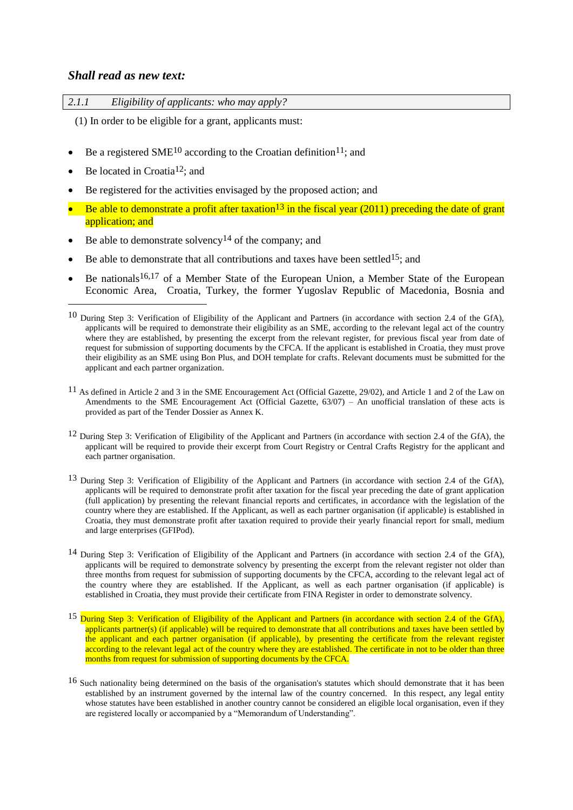#### *Shall read as new text:*

| 2.1.1 | Eligibility of applicants: who may apply? |
|-------|-------------------------------------------|
|       |                                           |

(1) In order to be eligible for a grant, applicants must:

- Be a registered SME<sup>10</sup> according to the Croatian definition<sup>11</sup>; and
- $\bullet$  Be located in Croatia<sup>12</sup>; and

<u>.</u>

- Be registered for the activities envisaged by the proposed action; and
- Be able to demonstrate a profit after taxation<sup>13</sup> in the fiscal year (2011) preceding the date of grant application; and
- Be able to demonstrate solvency<sup>14</sup> of the company; and
- Be able to demonstrate that all contributions and taxes have been settled<sup>15</sup>; and
- Be nationals<sup>16,17</sup> of a Member State of the European Union, a Member State of the European Economic Area, Croatia, Turkey, the former Yugoslav Republic of Macedonia, Bosnia and

- 11 As defined in Article 2 and 3 in the SME Encouragement Act (Official Gazette, 29/02), and Article 1 and 2 of the Law on Amendments to the SME Encouragement Act (Official Gazette, 63/07) – An unofficial translation of these acts is provided as part of the Tender Dossier as Annex K.
- 12 During Step 3: Verification of Eligibility of the Applicant and Partners (in accordance with section 2.4 of the GfA), the applicant will be required to provide their excerpt from Court Registry or Central Crafts Registry for the applicant and each partner organisation.
- 13 During Step 3: Verification of Eligibility of the Applicant and Partners (in accordance with section 2.4 of the GfA), applicants will be required to demonstrate profit after taxation for the fiscal year preceding the date of grant application (full application) by presenting the relevant financial reports and certificates, in accordance with the legislation of the country where they are established. If the Applicant, as well as each partner organisation (if applicable) is established in Croatia, they must demonstrate profit after taxation required to provide their yearly financial report for small, medium and large enterprises (GFIPod).
- 14 During Step 3: Verification of Eligibility of the Applicant and Partners (in accordance with section 2.4 of the GfA), applicants will be required to demonstrate solvency by presenting the excerpt from the relevant register not older than three months from request for submission of supporting documents by the CFCA, according to the relevant legal act of the country where they are established. If the Applicant, as well as each partner organisation (if applicable) is established in Croatia, they must provide their certificate from FINA Register in order to demonstrate solvency.
- <sup>15</sup> During Step 3: Verification of Eligibility of the Applicant and Partners (in accordance with section 2.4 of the GfA), applicants partner(s) (if applicable) will be required to demonstrate that all contributions and taxes have been settled by the applicant and each partner organisation (if applicable), by presenting the certificate from the relevant register according to the relevant legal act of the country where they are established. The certificate in not to be older than three months from request for submission of supporting documents by the CFCA.
- 16 Such nationality being determined on the basis of the organisation's statutes which should demonstrate that it has been established by an instrument governed by the internal law of the country concerned. In this respect, any legal entity whose statutes have been established in another country cannot be considered an eligible local organisation, even if they are registered locally or accompanied by a "Memorandum of Understanding".

<sup>10</sup> During Step 3: Verification of Eligibility of the Applicant and Partners (in accordance with section 2.4 of the GfA), applicants will be required to demonstrate their eligibility as an SME, according to the relevant legal act of the country where they are established, by presenting the excerpt from the relevant register, for previous fiscal year from date of request for submission of supporting documents by the CFCA. If the applicant is established in Croatia, they must prove their eligibility as an SME using Bon Plus, and DOH template for crafts. Relevant documents must be submitted for the applicant and each partner organization.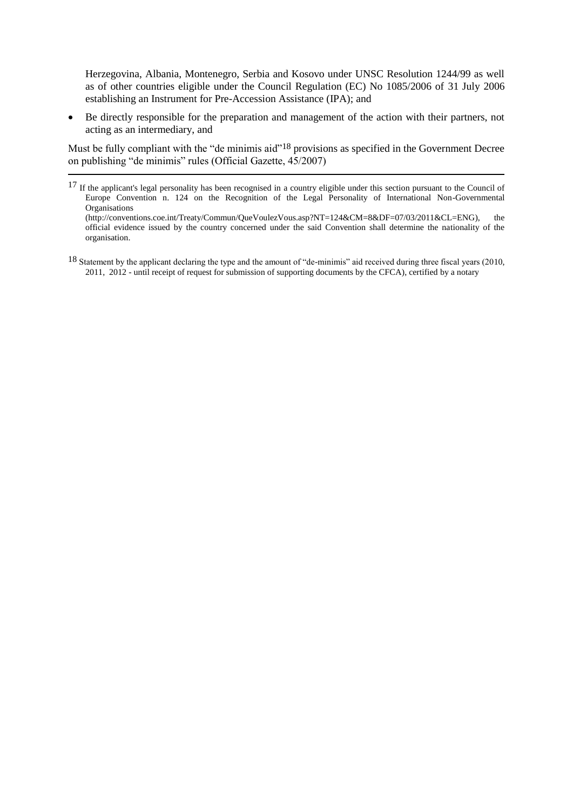Herzegovina, Albania, Montenegro, Serbia and Kosovo under UNSC Resolution 1244/99 as well as of other countries eligible under the Council Regulation (EC) No 1085/2006 of 31 July 2006 establishing an Instrument for Pre-Accession Assistance (IPA); and

 Be directly responsible for the preparation and management of the action with their partners, not acting as an intermediary, and

Must be fully compliant with the "de minimis aid"<sup>18</sup> provisions as specified in the Government Decree on publishing "de minimis" rules (Official Gazette, 45/2007)

 $\overline{a}$ 

<sup>&</sup>lt;sup>17</sup> If the applicant's legal personality has been recognised in a country eligible under this section pursuant to the Council of Europe Convention n. 124 on the Recognition of the Legal Personality of International Non-Governmental **Organisations** 

[<sup>\(</sup>http://conventions.coe.int/Treaty/Commun/QueVoulezVous.asp?NT=124&CM=8&DF=07/03/2011&CL=ENG\)](http://conventions.coe.int/Treaty/Commun/QueVoulezVous.asp?NT=124&CM=8&DF=07/03/2011&CL=ENG), the official evidence issued by the country concerned under the said Convention shall determine the nationality of the organisation.

<sup>18</sup> Statement by the applicant declaring the type and the amount of "de-minimis" aid received during three fiscal years (2010, 2011, 2012 - until receipt of request for submission of supporting documents by the CFCA), certified by a notary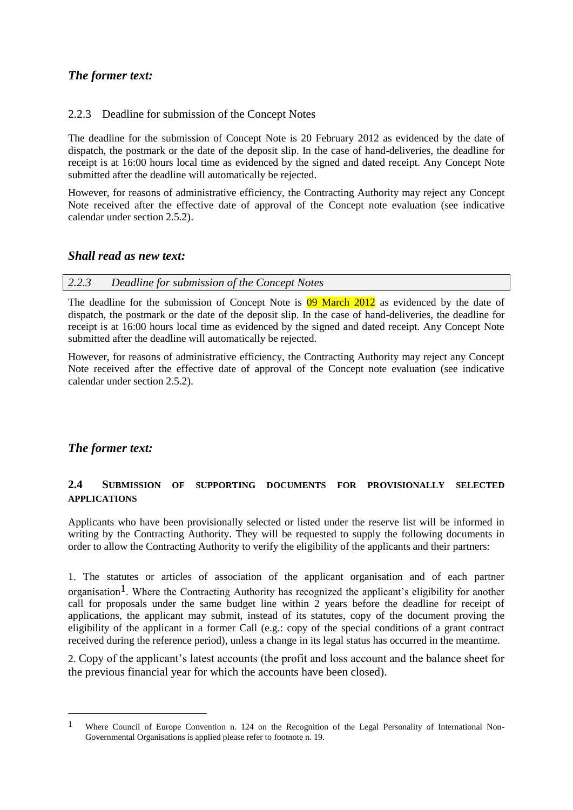## *The former text:*

#### 2.2.3 Deadline for submission of the Concept Notes

The deadline for the submission of Concept Note is 20 February 2012 as evidenced by the date of dispatch, the postmark or the date of the deposit slip. In the case of hand-deliveries, the deadline for receipt is at 16:00 hours local time as evidenced by the signed and dated receipt. Any Concept Note submitted after the deadline will automatically be rejected.

However, for reasons of administrative efficiency, the Contracting Authority may reject any Concept Note received after the effective date of approval of the Concept note evaluation (see indicative calendar under section 2.5.2).

#### *Shall read as new text:*

| 2.2.3 |  | Deadline for submission of the Concept Notes |
|-------|--|----------------------------------------------|
|       |  |                                              |

The deadline for the submission of Concept Note is 09 March 2012 as evidenced by the date of dispatch, the postmark or the date of the deposit slip. In the case of hand-deliveries, the deadline for receipt is at 16:00 hours local time as evidenced by the signed and dated receipt. Any Concept Note submitted after the deadline will automatically be rejected.

However, for reasons of administrative efficiency, the Contracting Authority may reject any Concept Note received after the effective date of approval of the Concept note evaluation (see indicative calendar under section 2.5.2).

## *The former text:*

<u>.</u>

#### **2.4 SUBMISSION OF SUPPORTING DOCUMENTS FOR PROVISIONALLY SELECTED APPLICATIONS**

Applicants who have been provisionally selected or listed under the reserve list will be informed in writing by the Contracting Authority. They will be requested to supply the following documents in order to allow the Contracting Authority to verify the eligibility of the applicants and their partners:

1. The statutes or articles of association of the applicant organisation and of each partner organisation<sup>1</sup>. Where the Contracting Authority has recognized the applicant's eligibility for another call for proposals under the same budget line within 2 years before the deadline for receipt of applications, the applicant may submit, instead of its statutes, copy of the document proving the eligibility of the applicant in a former Call (e.g.: copy of the special conditions of a grant contract received during the reference period), unless a change in its legal status has occurred in the meantime.

2. Copy of the applicant's latest accounts (the profit and loss account and the balance sheet for the previous financial year for which the accounts have been closed).

<sup>1</sup> Where Council of Europe Convention n. 124 on the Recognition of the Legal Personality of International Non-Governmental Organisations is applied please refer to footnote n. 19.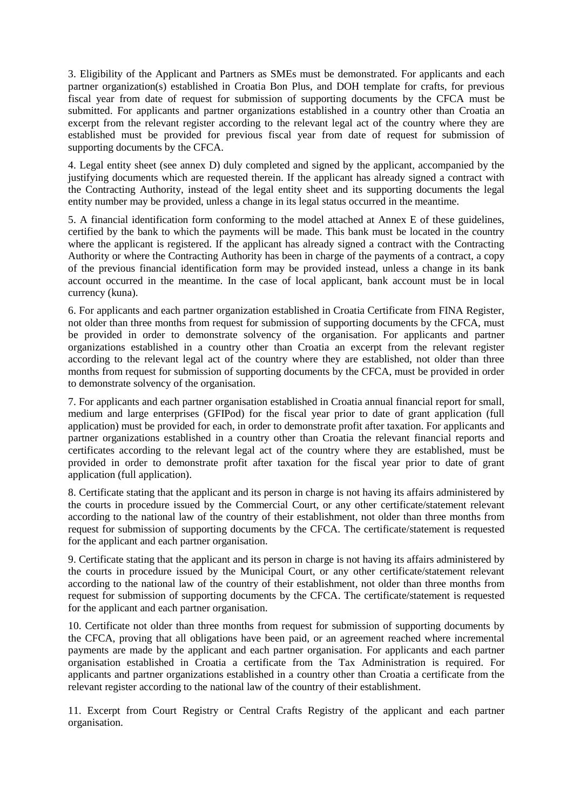3. Eligibility of the Applicant and Partners as SMEs must be demonstrated. For applicants and each partner organization(s) established in Croatia Bon Plus, and DOH template for crafts, for previous fiscal year from date of request for submission of supporting documents by the CFCA must be submitted. For applicants and partner organizations established in a country other than Croatia an excerpt from the relevant register according to the relevant legal act of the country where they are established must be provided for previous fiscal year from date of request for submission of supporting documents by the CFCA.

4. Legal entity sheet (see annex D) duly completed and signed by the applicant, accompanied by the justifying documents which are requested therein. If the applicant has already signed a contract with the Contracting Authority, instead of the legal entity sheet and its supporting documents the legal entity number may be provided, unless a change in its legal status occurred in the meantime.

5. A financial identification form conforming to the model attached at Annex E of these guidelines, certified by the bank to which the payments will be made. This bank must be located in the country where the applicant is registered. If the applicant has already signed a contract with the Contracting Authority or where the Contracting Authority has been in charge of the payments of a contract, a copy of the previous financial identification form may be provided instead, unless a change in its bank account occurred in the meantime. In the case of local applicant, bank account must be in local currency (kuna).

6. For applicants and each partner organization established in Croatia Certificate from FINA Register, not older than three months from request for submission of supporting documents by the CFCA, must be provided in order to demonstrate solvency of the organisation. For applicants and partner organizations established in a country other than Croatia an excerpt from the relevant register according to the relevant legal act of the country where they are established, not older than three months from request for submission of supporting documents by the CFCA, must be provided in order to demonstrate solvency of the organisation.

7. For applicants and each partner organisation established in Croatia annual financial report for small, medium and large enterprises (GFIPod) for the fiscal year prior to date of grant application (full application) must be provided for each, in order to demonstrate profit after taxation. For applicants and partner organizations established in a country other than Croatia the relevant financial reports and certificates according to the relevant legal act of the country where they are established, must be provided in order to demonstrate profit after taxation for the fiscal year prior to date of grant application (full application).

8. Certificate stating that the applicant and its person in charge is not having its affairs administered by the courts in procedure issued by the Commercial Court, or any other certificate/statement relevant according to the national law of the country of their establishment, not older than three months from request for submission of supporting documents by the CFCA. The certificate/statement is requested for the applicant and each partner organisation.

9. Certificate stating that the applicant and its person in charge is not having its affairs administered by the courts in procedure issued by the Municipal Court, or any other certificate/statement relevant according to the national law of the country of their establishment, not older than three months from request for submission of supporting documents by the CFCA. The certificate/statement is requested for the applicant and each partner organisation.

10. Certificate not older than three months from request for submission of supporting documents by the CFCA, proving that all obligations have been paid, or an agreement reached where incremental payments are made by the applicant and each partner organisation. For applicants and each partner organisation established in Croatia a certificate from the Tax Administration is required. For applicants and partner organizations established in a country other than Croatia a certificate from the relevant register according to the national law of the country of their establishment.

11. Excerpt from Court Registry or Central Crafts Registry of the applicant and each partner organisation.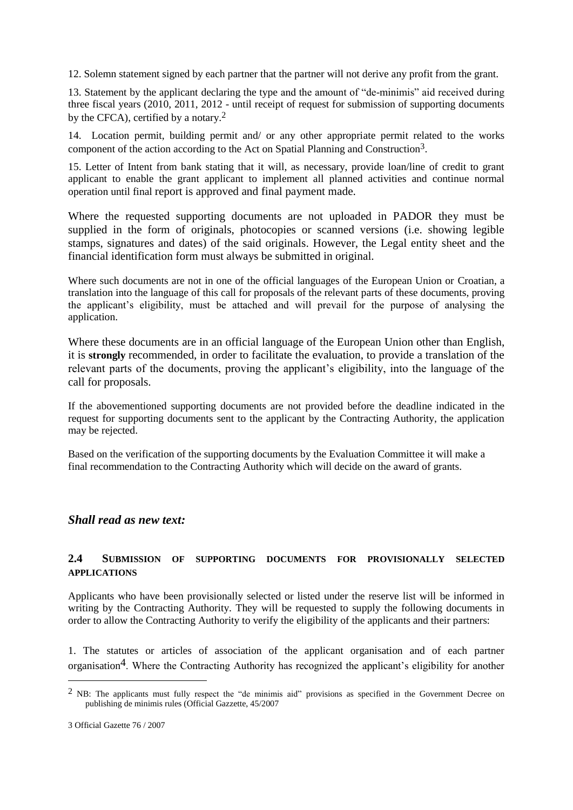12. Solemn statement signed by each partner that the partner will not derive any profit from the grant.

13. Statement by the applicant declaring the type and the amount of "de-minimis" aid received during three fiscal years (2010, 2011, 2012 - until receipt of request for submission of supporting documents by the CFCA), certified by a notary.2

14. Location permit, building permit and/ or any other appropriate permit related to the works component of the action according to the Act on Spatial Planning and Construction3.

15. Letter of Intent from bank stating that it will, as necessary, provide loan/line of credit to grant applicant to enable the grant applicant to implement all planned activities and continue normal operation until final report is approved and final payment made.

Where the requested supporting documents are not uploaded in PADOR they must be supplied in the form of originals, photocopies or scanned versions (i.e. showing legible stamps, signatures and dates) of the said originals. However, the Legal entity sheet and the financial identification form must always be submitted in original.

Where such documents are not in one of the official languages of the European Union or Croatian, a translation into the language of this call for proposals of the relevant parts of these documents, proving the applicant's eligibility, must be attached and will prevail for the purpose of analysing the application.

Where these documents are in an official language of the European Union other than English, it is **strongly** recommended, in order to facilitate the evaluation, to provide a translation of the relevant parts of the documents, proving the applicant's eligibility, into the language of the call for proposals.

If the abovementioned supporting documents are not provided before the deadline indicated in the request for supporting documents sent to the applicant by the Contracting Authority, the application may be rejected.

Based on the verification of the supporting documents by the Evaluation Committee it will make a final recommendation to the Contracting Authority which will decide on the award of grants.

#### *Shall read as new text:*

#### **2.4 SUBMISSION OF SUPPORTING DOCUMENTS FOR PROVISIONALLY SELECTED APPLICATIONS**

Applicants who have been provisionally selected or listed under the reserve list will be informed in writing by the Contracting Authority. They will be requested to supply the following documents in order to allow the Contracting Authority to verify the eligibility of the applicants and their partners:

1. The statutes or articles of association of the applicant organisation and of each partner organisation4. Where the Contracting Authority has recognized the applicant's eligibility for another

1

 $<sup>2</sup>$  NB: The applicants must fully respect the "de minimis aid" provisions as specified in the Government Decree on</sup> publishing de minimis rules (Official Gazzette, 45/2007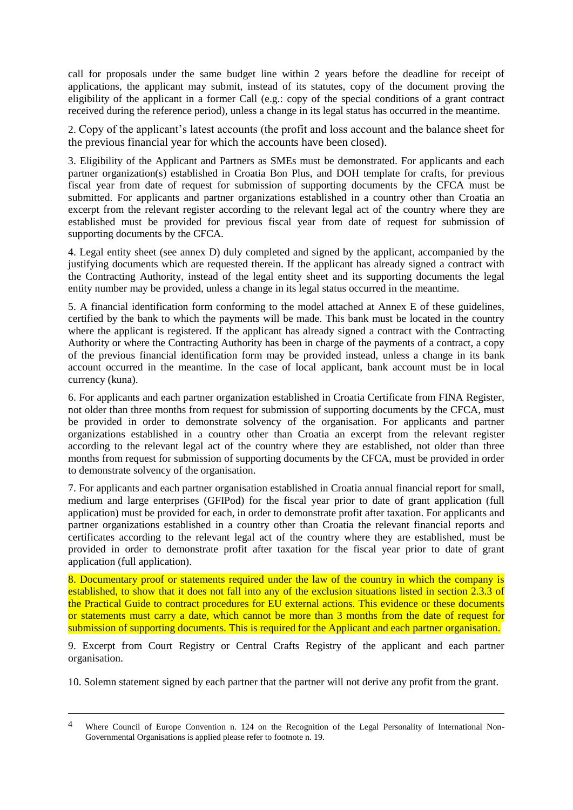call for proposals under the same budget line within 2 years before the deadline for receipt of applications, the applicant may submit, instead of its statutes, copy of the document proving the eligibility of the applicant in a former Call (e.g.: copy of the special conditions of a grant contract received during the reference period), unless a change in its legal status has occurred in the meantime.

2. Copy of the applicant's latest accounts (the profit and loss account and the balance sheet for the previous financial year for which the accounts have been closed).

3. Eligibility of the Applicant and Partners as SMEs must be demonstrated. For applicants and each partner organization(s) established in Croatia Bon Plus, and DOH template for crafts, for previous fiscal year from date of request for submission of supporting documents by the CFCA must be submitted. For applicants and partner organizations established in a country other than Croatia an excerpt from the relevant register according to the relevant legal act of the country where they are established must be provided for previous fiscal year from date of request for submission of supporting documents by the CFCA.

4. Legal entity sheet (see annex D) duly completed and signed by the applicant, accompanied by the justifying documents which are requested therein. If the applicant has already signed a contract with the Contracting Authority, instead of the legal entity sheet and its supporting documents the legal entity number may be provided, unless a change in its legal status occurred in the meantime.

5. A financial identification form conforming to the model attached at Annex E of these guidelines, certified by the bank to which the payments will be made. This bank must be located in the country where the applicant is registered. If the applicant has already signed a contract with the Contracting Authority or where the Contracting Authority has been in charge of the payments of a contract, a copy of the previous financial identification form may be provided instead, unless a change in its bank account occurred in the meantime. In the case of local applicant, bank account must be in local currency (kuna).

6. For applicants and each partner organization established in Croatia Certificate from FINA Register, not older than three months from request for submission of supporting documents by the CFCA, must be provided in order to demonstrate solvency of the organisation. For applicants and partner organizations established in a country other than Croatia an excerpt from the relevant register according to the relevant legal act of the country where they are established, not older than three months from request for submission of supporting documents by the CFCA, must be provided in order to demonstrate solvency of the organisation.

7. For applicants and each partner organisation established in Croatia annual financial report for small, medium and large enterprises (GFIPod) for the fiscal year prior to date of grant application (full application) must be provided for each, in order to demonstrate profit after taxation. For applicants and partner organizations established in a country other than Croatia the relevant financial reports and certificates according to the relevant legal act of the country where they are established, must be provided in order to demonstrate profit after taxation for the fiscal year prior to date of grant application (full application).

8. Documentary proof or statements required under the law of the country in which the company is established, to show that it does not fall into any of the exclusion situations listed in section 2.3.3 of the Practical Guide to contract procedures for EU external actions. This evidence or these documents or statements must carry a date, which cannot be more than 3 months from the date of request for submission of supporting documents. This is required for the Applicant and each partner organisation.

9. Excerpt from Court Registry or Central Crafts Registry of the applicant and each partner organisation.

10. Solemn statement signed by each partner that the partner will not derive any profit from the grant.

 $\overline{a}$ 

<sup>4</sup> Where Council of Europe Convention n. 124 on the Recognition of the Legal Personality of International Non-Governmental Organisations is applied please refer to footnote n. 19.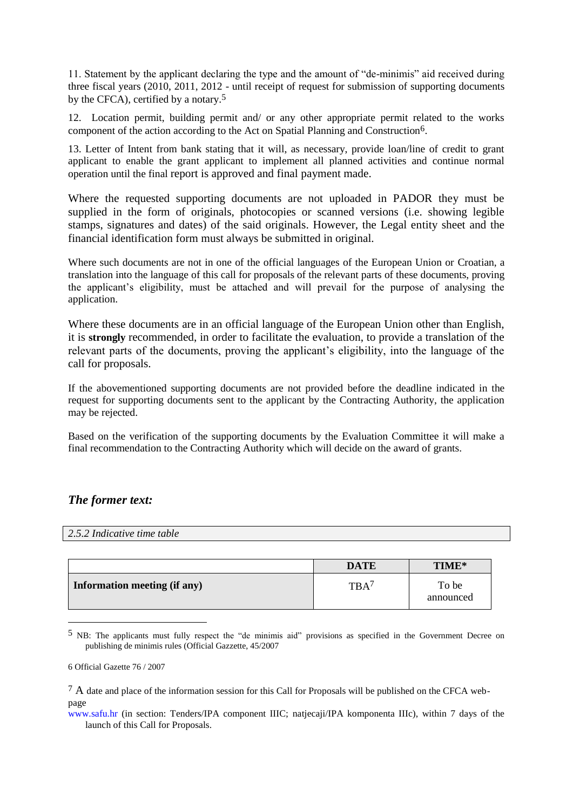11. Statement by the applicant declaring the type and the amount of "de-minimis" aid received during three fiscal years (2010, 2011, 2012 - until receipt of request for submission of supporting documents by the CFCA), certified by a notary.<sup>5</sup>

12. Location permit, building permit and/ or any other appropriate permit related to the works component of the action according to the Act on Spatial Planning and Construction6.

13. Letter of Intent from bank stating that it will, as necessary, provide loan/line of credit to grant applicant to enable the grant applicant to implement all planned activities and continue normal operation until the final report is approved and final payment made.

Where the requested supporting documents are not uploaded in PADOR they must be supplied in the form of originals, photocopies or scanned versions (i.e. showing legible stamps, signatures and dates) of the said originals. However, the Legal entity sheet and the financial identification form must always be submitted in original.

Where such documents are not in one of the official languages of the European Union or Croatian, a translation into the language of this call for proposals of the relevant parts of these documents, proving the applicant's eligibility, must be attached and will prevail for the purpose of analysing the application.

Where these documents are in an official language of the European Union other than English, it is **strongly** recommended, in order to facilitate the evaluation, to provide a translation of the relevant parts of the documents, proving the applicant's eligibility, into the language of the call for proposals.

If the abovementioned supporting documents are not provided before the deadline indicated in the request for supporting documents sent to the applicant by the Contracting Authority, the application may be rejected.

Based on the verification of the supporting documents by the Evaluation Committee it will make a final recommendation to the Contracting Authority which will decide on the award of grants.

## *The former text:*

*2.5.2 Indicative time table* 

|                              | <b>DATE</b> | TIME*              |
|------------------------------|-------------|--------------------|
| Information meeting (if any) | <b>TRA</b>  | To be<br>announced |

<sup>5</sup> NB: The applicants must fully respect the "de minimis aid" provisions as specified in the Government Decree on publishing de minimis rules (Official Gazzette, 45/2007

1

<sup>6</sup> Official Gazette 76 / 2007

<sup>&</sup>lt;sup>7</sup> A date and place of the information session for this Call for Proposals will be published on the CFCA webpage

www.safu.hr (in section: Tenders/IPA component IIIC; natjecaji/IPA komponenta IIIc), within 7 days of the launch of this Call for Proposals.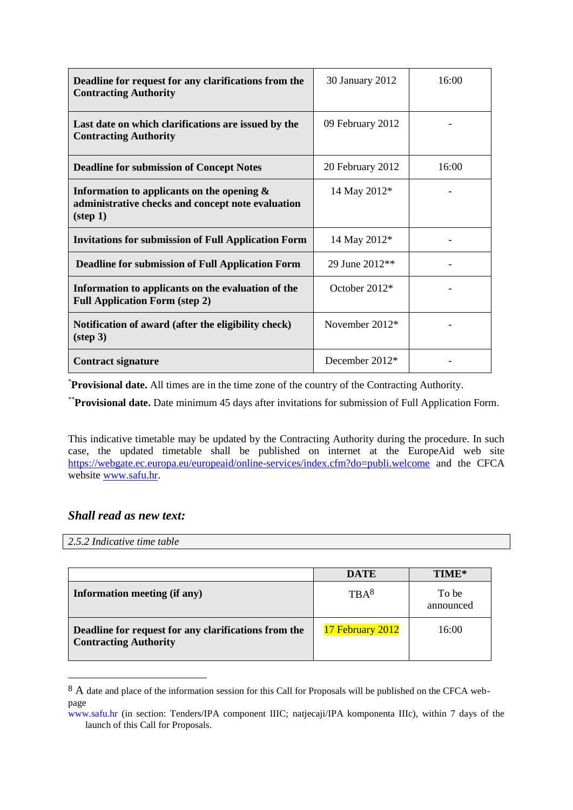| Deadline for request for any clarifications from the<br><b>Contracting Authority</b>                                    | 30 January 2012  | 16:00 |
|-------------------------------------------------------------------------------------------------------------------------|------------------|-------|
| Last date on which clarifications are issued by the<br><b>Contracting Authority</b>                                     | 09 February 2012 |       |
| <b>Deadline for submission of Concept Notes</b>                                                                         | 20 February 2012 | 16:00 |
| Information to applicants on the opening $\&$<br>administrative checks and concept note evaluation<br>$(\text{step 1})$ | 14 May 2012*     |       |
| <b>Invitations for submission of Full Application Form</b>                                                              | 14 May 2012*     |       |
| <b>Deadline for submission of Full Application Form</b>                                                                 | 29 June 2012**   |       |
| Information to applicants on the evaluation of the<br><b>Full Application Form (step 2)</b>                             | October 2012*    |       |
| Notification of award (after the eligibility check)<br>$(\text{step } 3)$                                               | November $2012*$ |       |
| <b>Contract signature</b>                                                                                               | December $2012*$ |       |

\***Provisional date.** All times are in the time zone of the country of the Contracting Authority.

\*\***Provisional date.** Date minimum 45 days after invitations for submission of Full Application Form.

This indicative timetable may be updated by the Contracting Authority during the procedure. In such case, the updated timetable shall be published on internet at the EuropeAid web site <https://webgate.ec.europa.eu/europeaid/online-services/index.cfm?do=publi.welcome> and the CFCA website [www.safu.hr.](http://www.safu.hr/)

## *Shall read as new text:*

*2.5.2 Indicative time table* 

<u>.</u>

|                                                                                      | <b>DATE</b>      | TIME*              |
|--------------------------------------------------------------------------------------|------------------|--------------------|
| Information meeting (if any)                                                         | TRA <sup>8</sup> | To be<br>announced |
| Deadline for request for any clarifications from the<br><b>Contracting Authority</b> | 17 February 2012 | 16:00              |

<sup>8</sup> A date and place of the information session for this Call for Proposals will be published on the CFCA webpage

www.safu.hr (in section: Tenders/IPA component IIIC; natjecaji/IPA komponenta IIIc), within 7 days of the launch of this Call for Proposals.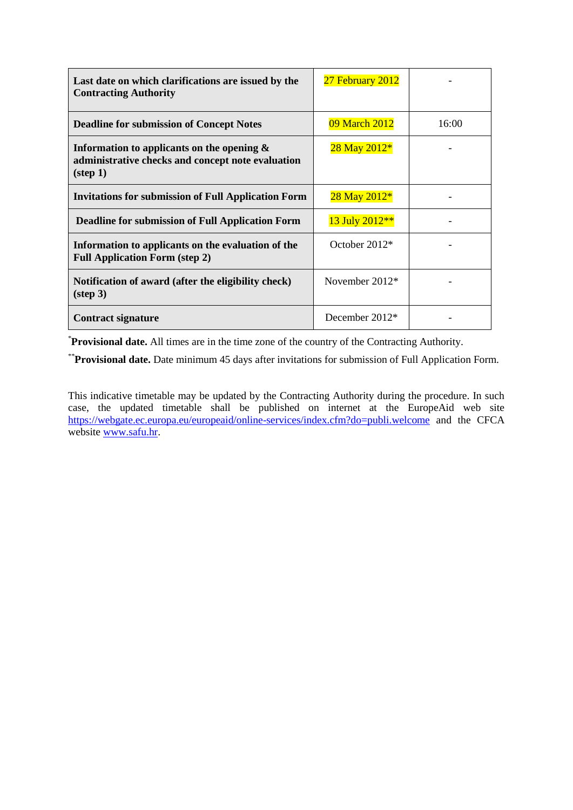| Last date on which clarifications are issued by the<br><b>Contracting Authority</b>                                     | 27 February 2012 |       |
|-------------------------------------------------------------------------------------------------------------------------|------------------|-------|
| <b>Deadline for submission of Concept Notes</b>                                                                         | 09 March 2012    | 16:00 |
| Information to applicants on the opening $\&$<br>administrative checks and concept note evaluation<br>$(\text{step 1})$ | 28 May 2012*     |       |
| <b>Invitations for submission of Full Application Form</b>                                                              | 28 May 2012*     |       |
| <b>Deadline for submission of Full Application Form</b>                                                                 | 13 July 2012**   |       |
| Information to applicants on the evaluation of the<br><b>Full Application Form (step 2)</b>                             | October $2012*$  |       |
| Notification of award (after the eligibility check)<br>$(\text{step } 3)$                                               | November $2012*$ |       |
| Contract signature                                                                                                      | December $2012*$ |       |

\***Provisional date.** All times are in the time zone of the country of the Contracting Authority.

\*\***Provisional date.** Date minimum 45 days after invitations for submission of Full Application Form.

This indicative timetable may be updated by the Contracting Authority during the procedure. In such case, the updated timetable shall be published on internet at the EuropeAid web site <https://webgate.ec.europa.eu/europeaid/online-services/index.cfm?do=publi.welcome> and the CFCA website [www.safu.hr.](http://www.safu.hr/)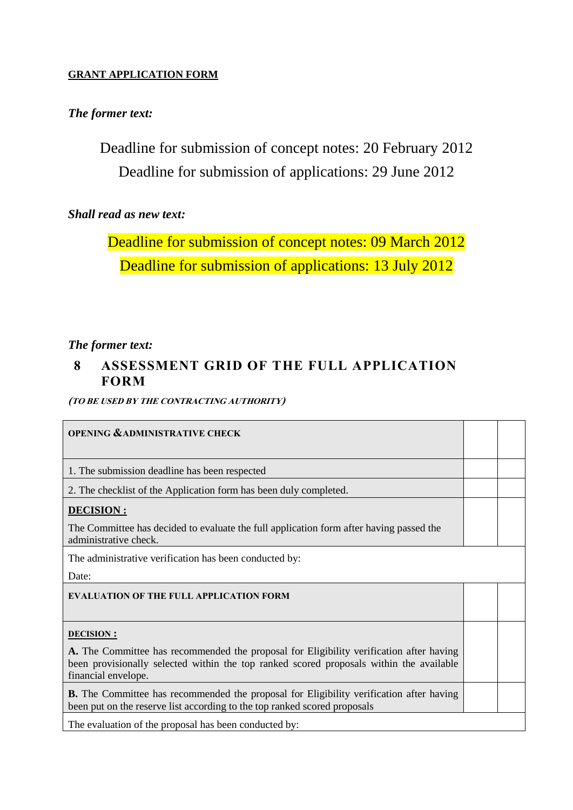## **GRANT APPLICATION FORM**

# *The former text:*

Deadline for submission of concept notes: 20 February 2012 Deadline for submission of applications: 29 June 2012

# *Shall read as new text:*

Deadline for submission of concept notes: 09 March 2012 Deadline for submission of applications: 13 July 2012

## *The former text:*

# **8 ASSESSMENT GRID OF THE FULL APPLICATION FORM**

**(TO BE USED BY THE CONTRACTING AUTHORITY)**

| <b>OPENING &amp; ADMINISTRATIVE CHECK</b>                                                                                                                                                                                     |  |
|-------------------------------------------------------------------------------------------------------------------------------------------------------------------------------------------------------------------------------|--|
| 1. The submission deadline has been respected                                                                                                                                                                                 |  |
| 2. The checklist of the Application form has been duly completed.                                                                                                                                                             |  |
| <b>DECISION:</b><br>The Committee has decided to evaluate the full application form after having passed the<br>administrative check.                                                                                          |  |
| The administrative verification has been conducted by:<br>Date:                                                                                                                                                               |  |
| <b>EVALUATION OF THE FULL APPLICATION FORM</b>                                                                                                                                                                                |  |
| <b>DECISION:</b><br>A. The Committee has recommended the proposal for Eligibility verification after having<br>been provisionally selected within the top ranked scored proposals within the available<br>financial envelope. |  |
| <b>B.</b> The Committee has recommended the proposal for Eligibility verification after having<br>been put on the reserve list according to the top ranked scored proposals                                                   |  |
| The evaluation of the proposal has been conducted by:                                                                                                                                                                         |  |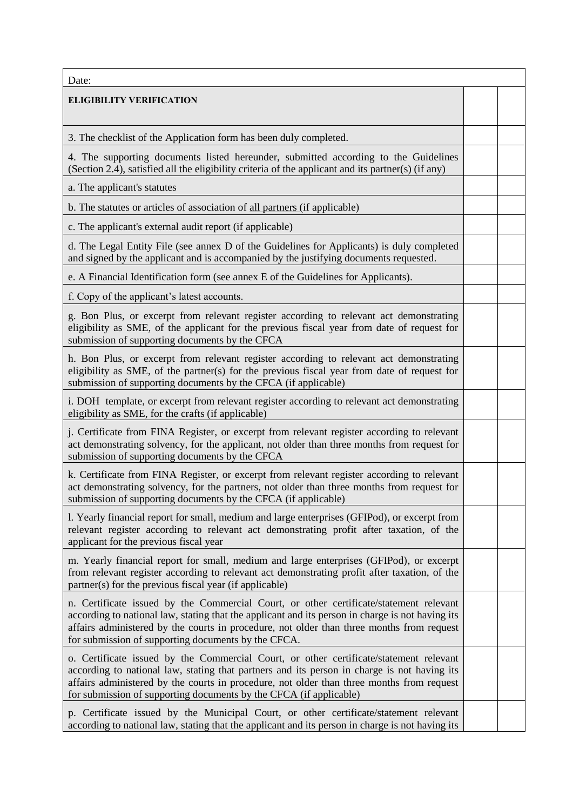| Date:                                                                                                                                                                                                                                                                                                                                                    |  |
|----------------------------------------------------------------------------------------------------------------------------------------------------------------------------------------------------------------------------------------------------------------------------------------------------------------------------------------------------------|--|
| <b>ELIGIBILITY VERIFICATION</b>                                                                                                                                                                                                                                                                                                                          |  |
| 3. The checklist of the Application form has been duly completed.                                                                                                                                                                                                                                                                                        |  |
| 4. The supporting documents listed hereunder, submitted according to the Guidelines<br>(Section 2.4), satisfied all the eligibility criteria of the applicant and its partner(s) (if any)                                                                                                                                                                |  |
| a. The applicant's statutes                                                                                                                                                                                                                                                                                                                              |  |
| b. The statutes or articles of association of all partners (if applicable)                                                                                                                                                                                                                                                                               |  |
| c. The applicant's external audit report (if applicable)                                                                                                                                                                                                                                                                                                 |  |
| d. The Legal Entity File (see annex D of the Guidelines for Applicants) is duly completed<br>and signed by the applicant and is accompanied by the justifying documents requested.                                                                                                                                                                       |  |
| e. A Financial Identification form (see annex E of the Guidelines for Applicants).                                                                                                                                                                                                                                                                       |  |
| f. Copy of the applicant's latest accounts.                                                                                                                                                                                                                                                                                                              |  |
| g. Bon Plus, or excerpt from relevant register according to relevant act demonstrating<br>eligibility as SME, of the applicant for the previous fiscal year from date of request for<br>submission of supporting documents by the CFCA                                                                                                                   |  |
| h. Bon Plus, or excerpt from relevant register according to relevant act demonstrating<br>eligibility as SME, of the partner(s) for the previous fiscal year from date of request for<br>submission of supporting documents by the CFCA (if applicable)                                                                                                  |  |
| i. DOH template, or excerpt from relevant register according to relevant act demonstrating<br>eligibility as SME, for the crafts (if applicable)                                                                                                                                                                                                         |  |
| j. Certificate from FINA Register, or excerpt from relevant register according to relevant<br>act demonstrating solvency, for the applicant, not older than three months from request for<br>submission of supporting documents by the CFCA                                                                                                              |  |
| k. Certificate from FINA Register, or excerpt from relevant register according to relevant<br>act demonstrating solvency, for the partners, not older than three months from request for<br>submission of supporting documents by the CFCA (if applicable)                                                                                               |  |
| 1. Yearly financial report for small, medium and large enterprises (GFIPod), or excerpt from<br>relevant register according to relevant act demonstrating profit after taxation, of the<br>applicant for the previous fiscal year                                                                                                                        |  |
| m. Yearly financial report for small, medium and large enterprises (GFIPod), or excerpt<br>from relevant register according to relevant act demonstrating profit after taxation, of the<br>partner(s) for the previous fiscal year (if applicable)                                                                                                       |  |
| n. Certificate issued by the Commercial Court, or other certificate/statement relevant<br>according to national law, stating that the applicant and its person in charge is not having its<br>affairs administered by the courts in procedure, not older than three months from request<br>for submission of supporting documents by the CFCA.           |  |
| o. Certificate issued by the Commercial Court, or other certificate/statement relevant<br>according to national law, stating that partners and its person in charge is not having its<br>affairs administered by the courts in procedure, not older than three months from request<br>for submission of supporting documents by the CFCA (if applicable) |  |
| p. Certificate issued by the Municipal Court, or other certificate/statement relevant<br>according to national law, stating that the applicant and its person in charge is not having its                                                                                                                                                                |  |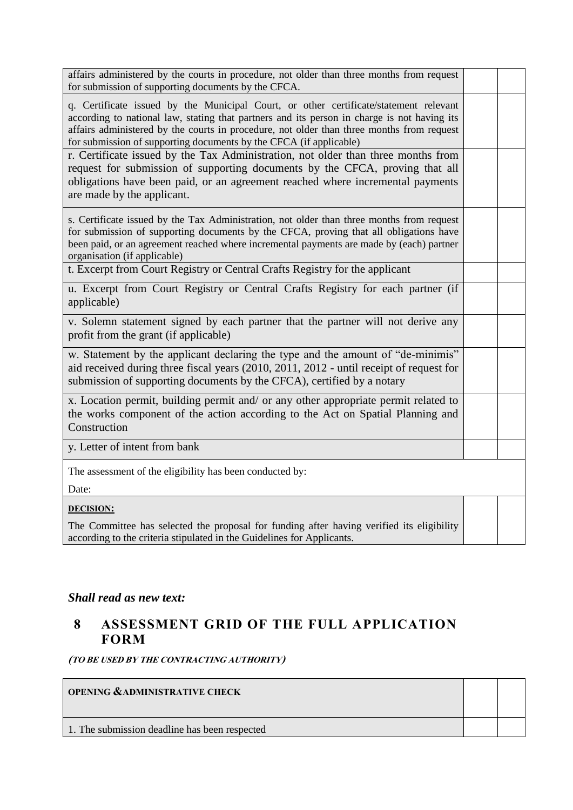| affairs administered by the courts in procedure, not older than three months from request<br>for submission of supporting documents by the CFCA.                                                                                                                                                                                                        |  |
|---------------------------------------------------------------------------------------------------------------------------------------------------------------------------------------------------------------------------------------------------------------------------------------------------------------------------------------------------------|--|
| q. Certificate issued by the Municipal Court, or other certificate/statement relevant<br>according to national law, stating that partners and its person in charge is not having its<br>affairs administered by the courts in procedure, not older than three months from request<br>for submission of supporting documents by the CFCA (if applicable) |  |
| r. Certificate issued by the Tax Administration, not older than three months from<br>request for submission of supporting documents by the CFCA, proving that all<br>obligations have been paid, or an agreement reached where incremental payments<br>are made by the applicant.                                                                       |  |
| s. Certificate issued by the Tax Administration, not older than three months from request<br>for submission of supporting documents by the CFCA, proving that all obligations have<br>been paid, or an agreement reached where incremental payments are made by (each) partner<br>organisation (if applicable)                                          |  |
| t. Excerpt from Court Registry or Central Crafts Registry for the applicant                                                                                                                                                                                                                                                                             |  |
| u. Excerpt from Court Registry or Central Crafts Registry for each partner (if<br>applicable)                                                                                                                                                                                                                                                           |  |
| v. Solemn statement signed by each partner that the partner will not derive any<br>profit from the grant (if applicable)                                                                                                                                                                                                                                |  |
| w. Statement by the applicant declaring the type and the amount of "de-minimis"<br>aid received during three fiscal years (2010, 2011, 2012 - until receipt of request for<br>submission of supporting documents by the CFCA), certified by a notary                                                                                                    |  |
| x. Location permit, building permit and/ or any other appropriate permit related to<br>the works component of the action according to the Act on Spatial Planning and<br>Construction                                                                                                                                                                   |  |
| y. Letter of intent from bank                                                                                                                                                                                                                                                                                                                           |  |
| The assessment of the eligibility has been conducted by:<br>Date:                                                                                                                                                                                                                                                                                       |  |
| <b>DECISION:</b>                                                                                                                                                                                                                                                                                                                                        |  |
| The Committee has selected the proposal for funding after having verified its eligibility<br>according to the criteria stipulated in the Guidelines for Applicants.                                                                                                                                                                                     |  |

# *Shall read as new text:*

# **8 ASSESSMENT GRID OF THE FULL APPLICATION FORM**

**(TO BE USED BY THE CONTRACTING AUTHORITY)**

| <b>OPENING &amp;ADMINISTRATIVE CHECK</b>      |  |
|-----------------------------------------------|--|
| 1. The submission deadline has been respected |  |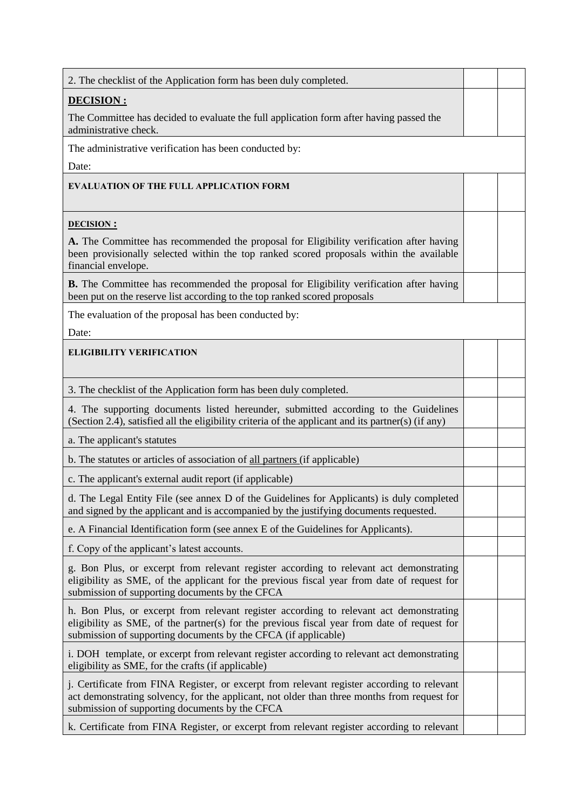| 2. The checklist of the Application form has been duly completed.                                                                                                                                                                                       |  |
|---------------------------------------------------------------------------------------------------------------------------------------------------------------------------------------------------------------------------------------------------------|--|
| <b>DECISION:</b>                                                                                                                                                                                                                                        |  |
| The Committee has decided to evaluate the full application form after having passed the<br>administrative check.                                                                                                                                        |  |
| The administrative verification has been conducted by:                                                                                                                                                                                                  |  |
| Date:                                                                                                                                                                                                                                                   |  |
| <b>EVALUATION OF THE FULL APPLICATION FORM</b>                                                                                                                                                                                                          |  |
| <b>DECISION:</b>                                                                                                                                                                                                                                        |  |
| A. The Committee has recommended the proposal for Eligibility verification after having<br>been provisionally selected within the top ranked scored proposals within the available<br>financial envelope.                                               |  |
| <b>B.</b> The Committee has recommended the proposal for Eligibility verification after having<br>been put on the reserve list according to the top ranked scored proposals                                                                             |  |
| The evaluation of the proposal has been conducted by:                                                                                                                                                                                                   |  |
| Date:                                                                                                                                                                                                                                                   |  |
| <b>ELIGIBILITY VERIFICATION</b>                                                                                                                                                                                                                         |  |
| 3. The checklist of the Application form has been duly completed.                                                                                                                                                                                       |  |
| 4. The supporting documents listed hereunder, submitted according to the Guidelines<br>(Section 2.4), satisfied all the eligibility criteria of the applicant and its partner(s) (if any)                                                               |  |
| a. The applicant's statutes                                                                                                                                                                                                                             |  |
| b. The statutes or articles of association of all partners (if applicable)                                                                                                                                                                              |  |
| c. The applicant's external audit report (if applicable)                                                                                                                                                                                                |  |
| d. The Legal Entity File (see annex D of the Guidelines for Applicants) is duly completed<br>and signed by the applicant and is accompanied by the justifying documents requested.                                                                      |  |
| e. A Financial Identification form (see annex E of the Guidelines for Applicants).                                                                                                                                                                      |  |
| f. Copy of the applicant's latest accounts.                                                                                                                                                                                                             |  |
| g. Bon Plus, or excerpt from relevant register according to relevant act demonstrating<br>eligibility as SME, of the applicant for the previous fiscal year from date of request for<br>submission of supporting documents by the CFCA                  |  |
| h. Bon Plus, or excerpt from relevant register according to relevant act demonstrating<br>eligibility as SME, of the partner(s) for the previous fiscal year from date of request for<br>submission of supporting documents by the CFCA (if applicable) |  |
| i. DOH template, or excerpt from relevant register according to relevant act demonstrating<br>eligibility as SME, for the crafts (if applicable)                                                                                                        |  |
| j. Certificate from FINA Register, or excerpt from relevant register according to relevant<br>act demonstrating solvency, for the applicant, not older than three months from request for<br>submission of supporting documents by the CFCA             |  |
| k. Certificate from FINA Register, or excerpt from relevant register according to relevant                                                                                                                                                              |  |